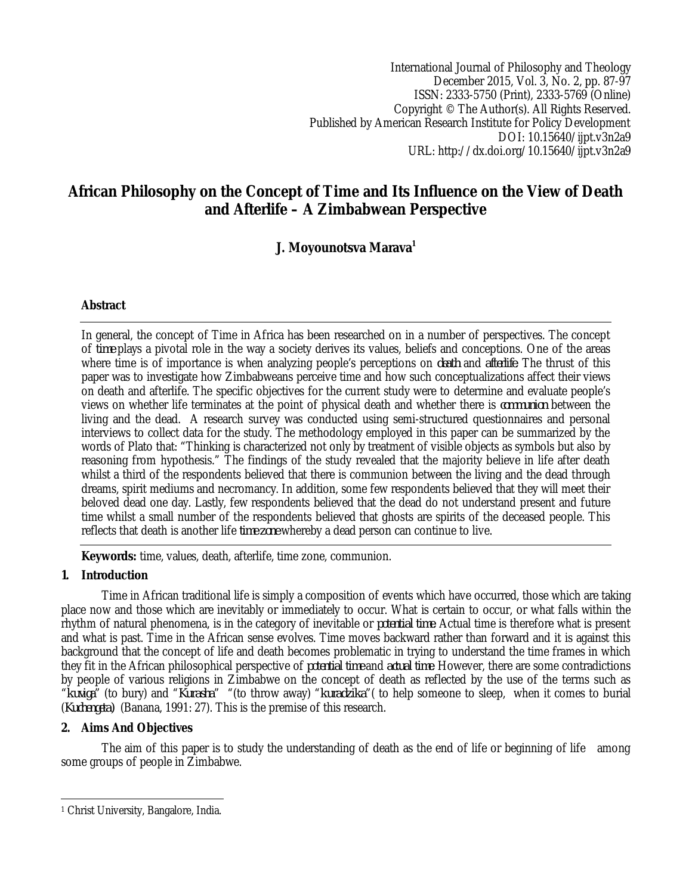International Journal of Philosophy and Theology December 2015, Vol. 3, No. 2, pp. 87-97 ISSN: 2333-5750 (Print), 2333-5769 (Online) Copyright © The Author(s). All Rights Reserved. Published by American Research Institute for Policy Development DOI: 10.15640/ijpt.v3n2a9 URL: http://dx.doi.org/10.15640/ijpt.v3n2a9

# **African Philosophy on the Concept of Time and Its Influence on the View of Death and Afterlife – A Zimbabwean Perspective**

# **J. Moyounotsva Marava<sup>1</sup>**

# **Abstract**

In general, the concept of Time in Africa has been researched on in a number of perspectives. The concept of *time* plays a pivotal role in the way a society derives its values, beliefs and conceptions. One of the areas where time is of importance is when analyzing people's perceptions on *death* and *afterlife*. The thrust of this paper was to investigate how Zimbabweans perceive time and how such conceptualizations affect their views on death and afterlife. The specific objectives for the current study were to determine and evaluate people's views on whether life terminates at the point of physical death and whether there is *communion* between the living and the dead. A research survey was conducted using semi-structured questionnaires and personal interviews to collect data for the study. The methodology employed in this paper can be summarized by the words of Plato that: "Thinking is characterized not only by treatment of visible objects as symbols but also by reasoning from hypothesis." The findings of the study revealed that the majority believe in life after death whilst a third of the respondents believed that there is communion between the living and the dead through dreams, spirit mediums and necromancy. In addition, some few respondents believed that they will meet their beloved dead one day. Lastly, few respondents believed that the dead do not understand present and future time whilst a small number of the respondents believed that ghosts are spirits of the deceased people. This reflects that death is another life *time zone* whereby a dead person can continue to live.

**Keywords:** time, values, death, afterlife, time zone, communion.

# **1. Introduction**

Time in African traditional life is simply a composition of events which have occurred, those which are taking place now and those which are inevitably or immediately to occur. What is certain to occur, or what falls within the rhythm of natural phenomena, is in the category of inevitable or *potential time*. Actual time is therefore what is present and what is past. Time in the African sense evolves. Time moves backward rather than forward and it is against this background that the concept of life and death becomes problematic in trying to understand the time frames in which they fit in the African philosophical perspective of *potential time* and *actual time*. However, there are some contradictions by people of various religions in Zimbabwe on the concept of death as reflected by the use of the terms such as "*kuviga*" (to bury) and "*Kurasha*" "(to throw away) "*kuradzika*"( to help someone to sleep, when it comes to burial (*Kuchengeta)* (Banana, 1991: 27). This is the premise of this research.

# **2. Aims And Objectives**

The aim of this paper is to study the understanding of death as the end of life or beginning of life among some groups of people in Zimbabwe.

 $\overline{a}$ <sup>1</sup> Christ University, Bangalore, India.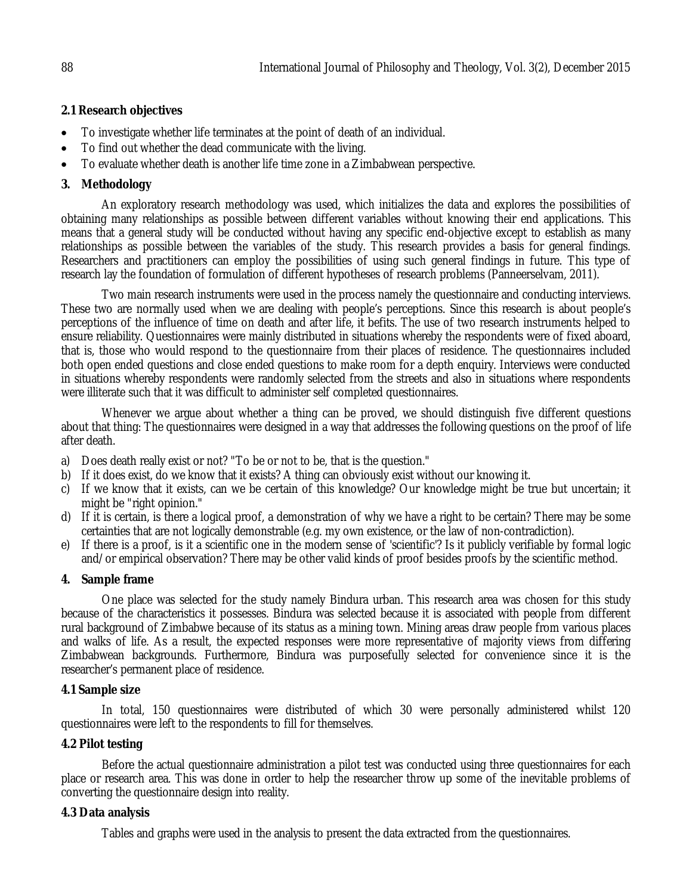# **2.1 Research objectives**

- To investigate whether life terminates at the point of death of an individual.
- To find out whether the dead communicate with the living.
- To evaluate whether death is another life time zone in a Zimbabwean perspective.

# **3. Methodology**

An exploratory research methodology was used, which initializes the data and explores the possibilities of obtaining many relationships as possible between different variables without knowing their end applications. This means that a general study will be conducted without having any specific end-objective except to establish as many relationships as possible between the variables of the study. This research provides a basis for general findings. Researchers and practitioners can employ the possibilities of using such general findings in future. This type of research lay the foundation of formulation of different hypotheses of research problems (Panneerselvam, 2011).

Two main research instruments were used in the process namely the questionnaire and conducting interviews. These two are normally used when we are dealing with people's perceptions. Since this research is about people's perceptions of the influence of time on death and after life, it befits. The use of two research instruments helped to ensure reliability. Questionnaires were mainly distributed in situations whereby the respondents were of fixed aboard, that is, those who would respond to the questionnaire from their places of residence. The questionnaires included both open ended questions and close ended questions to make room for a depth enquiry. Interviews were conducted in situations whereby respondents were randomly selected from the streets and also in situations where respondents were illiterate such that it was difficult to administer self completed questionnaires.

Whenever we argue about whether a thing can be proved, we should distinguish five different questions about that thing: The questionnaires were designed in a way that addresses the following questions on the proof of life after death.

- a) Does death really exist or not? "To be or not to be, that is the question."
- b) If it does exist, do we know that it exists? A thing can obviously exist without our knowing it.
- c) If we know that it exists, can we be certain of this knowledge? Our knowledge might be true but uncertain; it might be "right opinion."
- d) If it is certain, is there a logical proof, a demonstration of why we have a right to be certain? There may be some certainties that are not logically demonstrable (e.g. my own existence, or the law of non-contradiction).
- e) If there is a proof, is it a scientific one in the modern sense of 'scientific'? Is it publicly verifiable by formal logic and/or empirical observation? There may be other valid kinds of proof besides proofs by the scientific method.

# **4. Sample frame**

One place was selected for the study namely Bindura urban. This research area was chosen for this study because of the characteristics it possesses. Bindura was selected because it is associated with people from different rural background of Zimbabwe because of its status as a mining town. Mining areas draw people from various places and walks of life. As a result, the expected responses were more representative of majority views from differing Zimbabwean backgrounds. Furthermore, Bindura was purposefully selected for convenience since it is the researcher's permanent place of residence.

## **4.1 Sample size**

In total, 150 questionnaires were distributed of which 30 were personally administered whilst 120 questionnaires were left to the respondents to fill for themselves.

# **4.2 Pilot testing**

Before the actual questionnaire administration a pilot test was conducted using three questionnaires for each place or research area. This was done in order to help the researcher throw up some of the inevitable problems of converting the questionnaire design into reality.

# **4.3 Data analysis**

Tables and graphs were used in the analysis to present the data extracted from the questionnaires.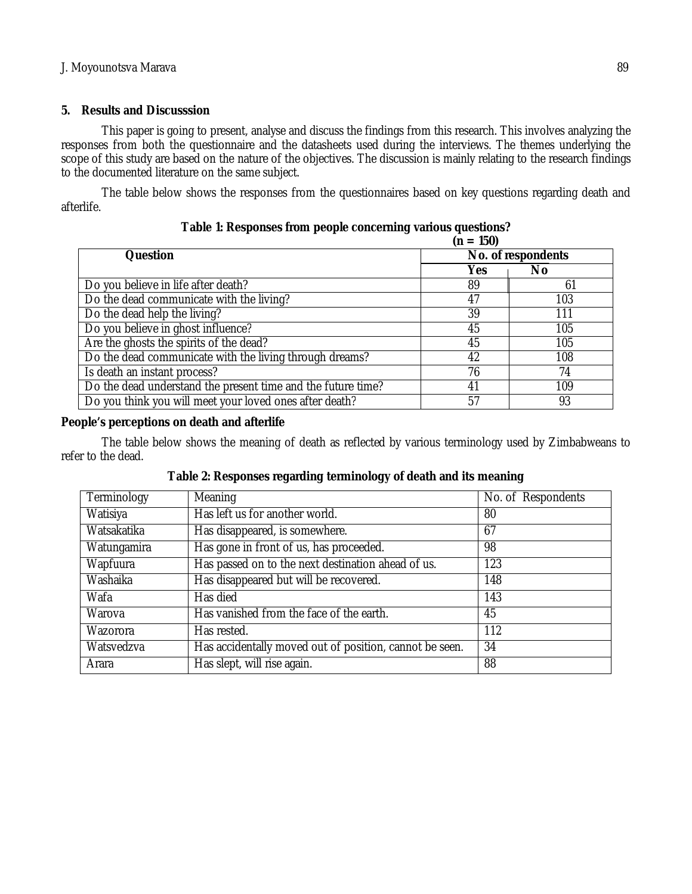# **5. Results and Discusssion**

This paper is going to present, analyse and discuss the findings from this research. This involves analyzing the responses from both the questionnaire and the datasheets used during the interviews. The themes underlying the scope of this study are based on the nature of the objectives. The discussion is mainly relating to the research findings to the documented literature on the same subject.

The table below shows the responses from the questionnaires based on key questions regarding death and afterlife.

|                                                              | $(n = 150)$        |     |  |
|--------------------------------------------------------------|--------------------|-----|--|
| <b>Question</b>                                              | No. of respondents |     |  |
|                                                              | Yes                | No  |  |
| Do you believe in life after death?                          | 89                 | 61  |  |
| Do the dead communicate with the living?                     | 47                 | 103 |  |
| Do the dead help the living?                                 | 39                 | 111 |  |
| Do you believe in ghost influence?                           | 45                 | 105 |  |
| Are the ghosts the spirits of the dead?                      | 45                 | 105 |  |
| Do the dead communicate with the living through dreams?      | 42                 | 108 |  |
| Is death an instant process?                                 | 76                 | 74  |  |
| Do the dead understand the present time and the future time? | 41                 | 109 |  |
| Do you think you will meet your loved ones after death?      | 57                 | 93  |  |

| Table 1: Responses from people concerning various questions? |  |  |
|--------------------------------------------------------------|--|--|
|                                                              |  |  |

## **People's perceptions on death and afterlife**

The table below shows the meaning of death as reflected by various terminology used by Zimbabweans to refer to the dead.

| Terminology | Meaning                                                 | No. of Respondents |
|-------------|---------------------------------------------------------|--------------------|
| Watisiya    | Has left us for another world.                          | 80                 |
| Watsakatika | Has disappeared, is somewhere.                          | 67                 |
| Watungamira | Has gone in front of us, has proceeded.                 | 98                 |
| Wapfuura    | Has passed on to the next destination ahead of us.      | 123                |
| Washaika    | Has disappeared but will be recovered.                  | 148                |
| Wafa        | Has died                                                | 143                |
| Warova      | Has vanished from the face of the earth.                | 45                 |
| Wazorora    | Has rested.                                             | 112                |
| Watsvedzva  | Has accidentally moved out of position, cannot be seen. | 34                 |
| Arara       | Has slept, will rise again.                             | 88                 |

**Table 2: Responses regarding terminology of death and its meaning**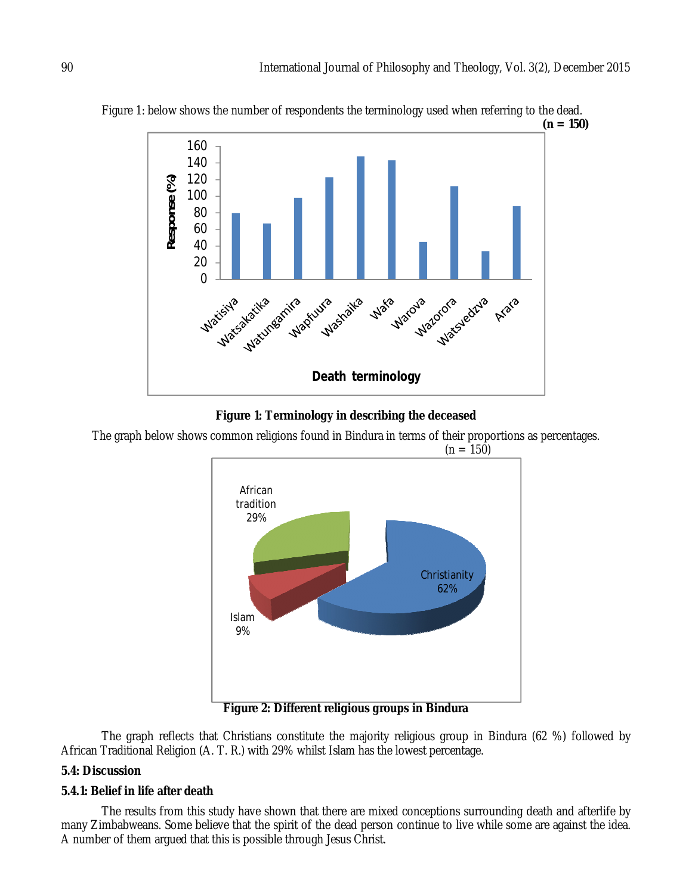

Figure 1: below shows the number of respondents the terminology used when referring to the dead.

### **Figure 1: Terminology in describing the deceased**

The graph below shows common religions found in Bindura in terms of their proportions as percentages.  $(n = 150)$ 



**Figure 2: Different religious groups in Bindura**

The graph reflects that Christians constitute the majority religious group in Bindura (62 %) followed by African Traditional Religion (A. T. R.) with 29% whilst Islam has the lowest percentage.

## **5.4: Discussion**

## **5.4.1: Belief in life after death**

The results from this study have shown that there are mixed conceptions surrounding death and afterlife by many Zimbabweans. Some believe that the spirit of the dead person continue to live while some are against the idea. A number of them argued that this is possible through Jesus Christ.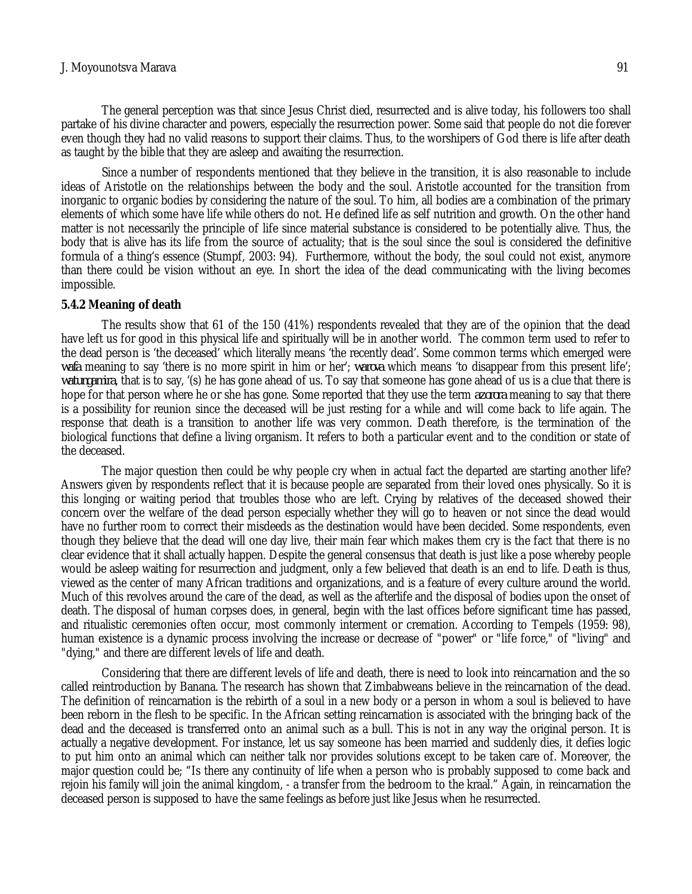### J. Moyounotsva Marava 91

The general perception was that since Jesus Christ died, resurrected and is alive today, his followers too shall partake of his divine character and powers, especially the resurrection power. Some said that people do not die forever even though they had no valid reasons to support their claims. Thus, to the worshipers of God there is life after death as taught by the bible that they are asleep and awaiting the resurrection.

Since a number of respondents mentioned that they believe in the transition, it is also reasonable to include ideas of Aristotle on the relationships between the body and the soul. Aristotle accounted for the transition from inorganic to organic bodies by considering the nature of the soul. To him, all bodies are a combination of the primary elements of which some have life while others do not. He defined life as self nutrition and growth. On the other hand matter is not necessarily the principle of life since material substance is considered to be potentially alive. Thus, the body that is alive has its life from the source of actuality; that is the soul since the soul is considered the definitive formula of a thing's essence (Stumpf, 2003: 94). Furthermore, without the body, the soul could not exist, anymore than there could be vision without an eye. In short the idea of the dead communicating with the living becomes impossible.

#### **5.4.2 Meaning of death**

The results show that 61 of the 150 (41%) respondents revealed that they are of the opinion that the dead have left us for good in this physical life and spiritually will be in another world. The common term used to refer to the dead person is 'the deceased' which literally means 'the recently dead'. Some common terms which emerged were *wafa* meaning to say 'there is no more spirit in him or her'; *warova* which means 'to disappear from this present life'; *watungamira*, that is to say, '(s) he has gone ahead of us. To say that someone has gone ahead of us is a clue that there is hope for that person where he or she has gone. Some reported that they use the term *azorora* meaning to say that there is a possibility for reunion since the deceased will be just resting for a while and will come back to life again. The response that death is a transition to another life was very common. Death therefore, is the termination of the biological functions that define a living organism. It refers to both a particular event and to the condition or state of the deceased.

The major question then could be why people cry when in actual fact the departed are starting another life? Answers given by respondents reflect that it is because people are separated from their loved ones physically. So it is this longing or waiting period that troubles those who are left. Crying by relatives of the deceased showed their concern over the welfare of the dead person especially whether they will go to heaven or not since the dead would have no further room to correct their misdeeds as the destination would have been decided. Some respondents, even though they believe that the dead will one day live, their main fear which makes them cry is the fact that there is no clear evidence that it shall actually happen. Despite the general consensus that death is just like a pose whereby people would be asleep waiting for resurrection and judgment, only a few believed that death is an end to life. Death is thus, viewed as the center of many African traditions and organizations, and is a feature of every culture around the world. Much of this revolves around the care of the dead, as well as the afterlife and the disposal of bodies upon the onset of death. The disposal of human corpses does, in general, begin with the last offices before significant time has passed, and ritualistic ceremonies often occur, most commonly interment or cremation. According to Tempels (1959: 98), human existence is a dynamic process involving the increase or decrease of "power" or "life force," of "living" and "dying," and there are different levels of life and death.

Considering that there are different levels of life and death, there is need to look into reincarnation and the so called reintroduction by Banana. The research has shown that Zimbabweans believe in the reincarnation of the dead. The definition of reincarnation is the rebirth of a soul in a new body or a person in whom a soul is believed to have been reborn in the flesh to be specific. In the African setting reincarnation is associated with the bringing back of the dead and the deceased is transferred onto an animal such as a bull. This is not in any way the original person. It is actually a negative development. For instance, let us say someone has been married and suddenly dies, it defies logic to put him onto an animal which can neither talk nor provides solutions except to be taken care of. Moreover, the major question could be; "Is there any continuity of life when a person who is probably supposed to come back and rejoin his family will join the animal kingdom, - a transfer from the bedroom to the kraal." Again, in reincarnation the deceased person is supposed to have the same feelings as before just like Jesus when he resurrected.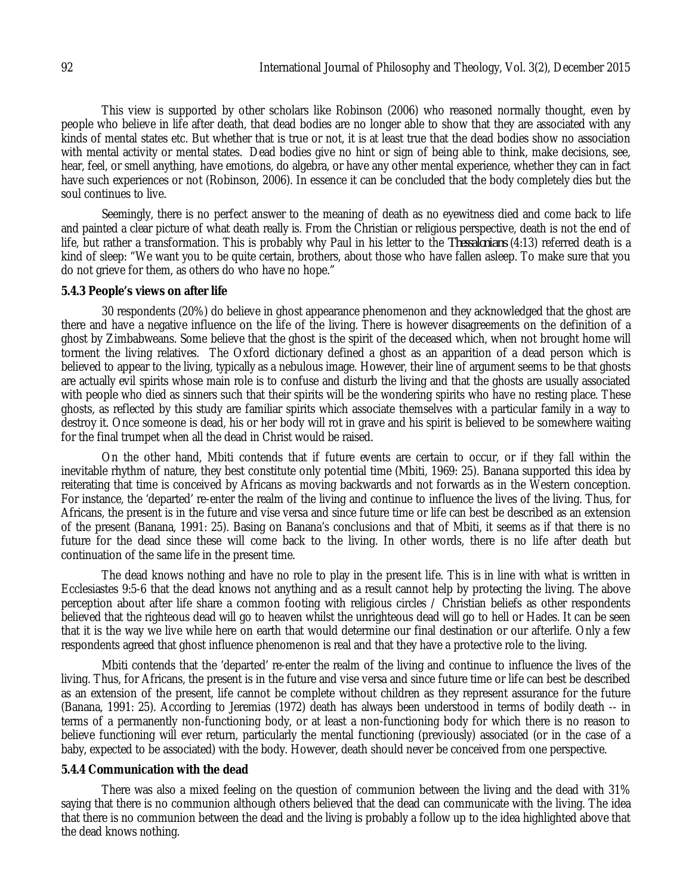This view is supported by other scholars like Robinson (2006) who reasoned normally thought, even by people who believe in life after death, that dead bodies are no longer able to show that they are associated with any kinds of mental states etc. But whether that is true or not, it is at least true that the dead bodies show no association with mental activity or mental states. Dead bodies give no hint or sign of being able to think, make decisions, see, hear, feel, or smell anything, have emotions, do algebra, or have any other mental experience, whether they can in fact have such experiences or not (Robinson, 2006). In essence it can be concluded that the body completely dies but the soul continues to live.

Seemingly, there is no perfect answer to the meaning of death as no eyewitness died and come back to life and painted a clear picture of what death really is. From the Christian or religious perspective, death is not the end of life, but rather a transformation. This is probably why Paul in his letter to the *Thessalonians* (4:13) referred death is a kind of sleep: "We want you to be quite certain, brothers, about those who have fallen asleep. To make sure that you do not grieve for them, as others do who have no hope."

#### **5.4.3 People's views on after life**

30 respondents (20%) do believe in ghost appearance phenomenon and they acknowledged that the ghost are there and have a negative influence on the life of the living. There is however disagreements on the definition of a ghost by Zimbabweans. Some believe that the ghost is the spirit of the deceased which, when not brought home will torment the living relatives. The Oxford dictionary defined a ghost as an apparition of a dead person which is believed to appear to the living, typically as a nebulous image. However, their line of argument seems to be that ghosts are actually evil spirits whose main role is to confuse and disturb the living and that the ghosts are usually associated with people who died as sinners such that their spirits will be the wondering spirits who have no resting place. These ghosts, as reflected by this study are familiar spirits which associate themselves with a particular family in a way to destroy it. Once someone is dead, his or her body will rot in grave and his spirit is believed to be somewhere waiting for the final trumpet when all the dead in Christ would be raised.

On the other hand, Mbiti contends that if future events are certain to occur, or if they fall within the inevitable rhythm of nature, they best constitute only potential time (Mbiti, 1969: 25). Banana supported this idea by reiterating that time is conceived by Africans as moving backwards and not forwards as in the Western conception. For instance, the 'departed' re-enter the realm of the living and continue to influence the lives of the living. Thus, for Africans, the present is in the future and vise versa and since future time or life can best be described as an extension of the present (Banana, 1991: 25). Basing on Banana's conclusions and that of Mbiti, it seems as if that there is no future for the dead since these will come back to the living. In other words, there is no life after death but continuation of the same life in the present time.

The dead knows nothing and have no role to play in the present life. This is in line with what is written in Ecclesiastes 9:5-6 that the dead knows not anything and as a result cannot help by protecting the living. The above perception about after life share a common footing with religious circles / Christian beliefs as other respondents believed that the righteous dead will go to heaven whilst the unrighteous dead will go to hell or Hades. It can be seen that it is the way we live while here on earth that would determine our final destination or our afterlife. Only a few respondents agreed that ghost influence phenomenon is real and that they have a protective role to the living.

Mbiti contends that the 'departed' re-enter the realm of the living and continue to influence the lives of the living. Thus, for Africans, the present is in the future and vise versa and since future time or life can best be described as an extension of the present, life cannot be complete without children as they represent assurance for the future (Banana, 1991: 25). According to Jeremias (1972) death has always been understood in terms of bodily death -- in terms of a permanently non-functioning body, or at least a non-functioning body for which there is no reason to believe functioning will ever return, particularly the mental functioning (previously) associated (or in the case of a baby, expected to be associated) with the body. However, death should never be conceived from one perspective.

### **5.4.4 Communication with the dead**

There was also a mixed feeling on the question of communion between the living and the dead with 31% saying that there is no communion although others believed that the dead can communicate with the living. The idea that there is no communion between the dead and the living is probably a follow up to the idea highlighted above that the dead knows nothing.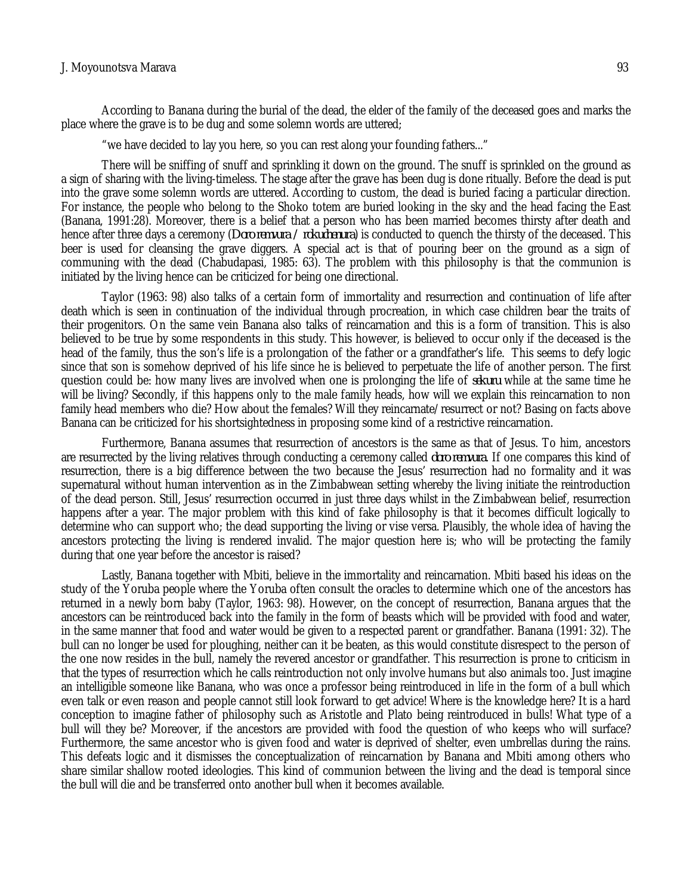#### J. Moyounotsva Marava 93

According to Banana during the burial of the dead, the elder of the family of the deceased goes and marks the place where the grave is to be dug and some solemn words are uttered;

"we have decided to lay you here, so you can rest along your founding fathers..."

There will be sniffing of snuff and sprinkling it down on the ground. The snuff is sprinkled on the ground as a sign of sharing with the living-timeless. The stage after the grave has been dug is done ritually. Before the dead is put into the grave some solemn words are uttered. According to custom, the dead is buried facing a particular direction. For instance, the people who belong to the Shoko totem are buried looking in the sky and the head facing the East (Banana, 1991:28). Moreover, there is a belief that a person who has been married becomes thirsty after death and hence after three days a ceremony (*Doro remvura / rokuchenura*) is conducted to quench the thirsty of the deceased. This beer is used for cleansing the grave diggers. A special act is that of pouring beer on the ground as a sign of communing with the dead (Chabudapasi, 1985: 63). The problem with this philosophy is that the communion is initiated by the living hence can be criticized for being one directional.

Taylor (1963: 98) also talks of a certain form of immortality and resurrection and continuation of life after death which is seen in continuation of the individual through procreation, in which case children bear the traits of their progenitors. On the same vein Banana also talks of reincarnation and this is a form of transition. This is also believed to be true by some respondents in this study. This however, is believed to occur only if the deceased is the head of the family, thus the son's life is a prolongation of the father or a grandfather's life. This seems to defy logic since that son is somehow deprived of his life since he is believed to perpetuate the life of another person. The first question could be: how many lives are involved when one is prolonging the life of *sekuru* while at the same time he will be living? Secondly, if this happens only to the male family heads, how will we explain this reincarnation to non family head members who die? How about the females? Will they reincarnate/resurrect or not? Basing on facts above Banana can be criticized for his shortsightedness in proposing some kind of a restrictive reincarnation.

Furthermore, Banana assumes that resurrection of ancestors is the same as that of Jesus. To him, ancestors are resurrected by the living relatives through conducting a ceremony called *doro remvura*. If one compares this kind of resurrection, there is a big difference between the two because the Jesus' resurrection had no formality and it was supernatural without human intervention as in the Zimbabwean setting whereby the living initiate the reintroduction of the dead person. Still, Jesus' resurrection occurred in just three days whilst in the Zimbabwean belief, resurrection happens after a year. The major problem with this kind of fake philosophy is that it becomes difficult logically to determine who can support who; the dead supporting the living or vise versa. Plausibly, the whole idea of having the ancestors protecting the living is rendered invalid. The major question here is; who will be protecting the family during that one year before the ancestor is raised?

Lastly, Banana together with Mbiti, believe in the immortality and reincarnation. Mbiti based his ideas on the study of the Yoruba people where the Yoruba often consult the oracles to determine which one of the ancestors has returned in a newly born baby (Taylor, 1963: 98). However, on the concept of resurrection, Banana argues that the ancestors can be reintroduced back into the family in the form of beasts which will be provided with food and water, in the same manner that food and water would be given to a respected parent or grandfather. Banana (1991: 32). The bull can no longer be used for ploughing, neither can it be beaten, as this would constitute disrespect to the person of the one now resides in the bull, namely the revered ancestor or grandfather. This resurrection is prone to criticism in that the types of resurrection which he calls reintroduction not only involve humans but also animals too. Just imagine an intelligible someone like Banana, who was once a professor being reintroduced in life in the form of a bull which even talk or even reason and people cannot still look forward to get advice! Where is the knowledge here? It is a hard conception to imagine father of philosophy such as Aristotle and Plato being reintroduced in bulls! What type of a bull will they be? Moreover, if the ancestors are provided with food the question of who keeps who will surface? Furthermore, the same ancestor who is given food and water is deprived of shelter, even umbrellas during the rains. This defeats logic and it dismisses the conceptualization of reincarnation by Banana and Mbiti among others who share similar shallow rooted ideologies. This kind of communion between the living and the dead is temporal since the bull will die and be transferred onto another bull when it becomes available.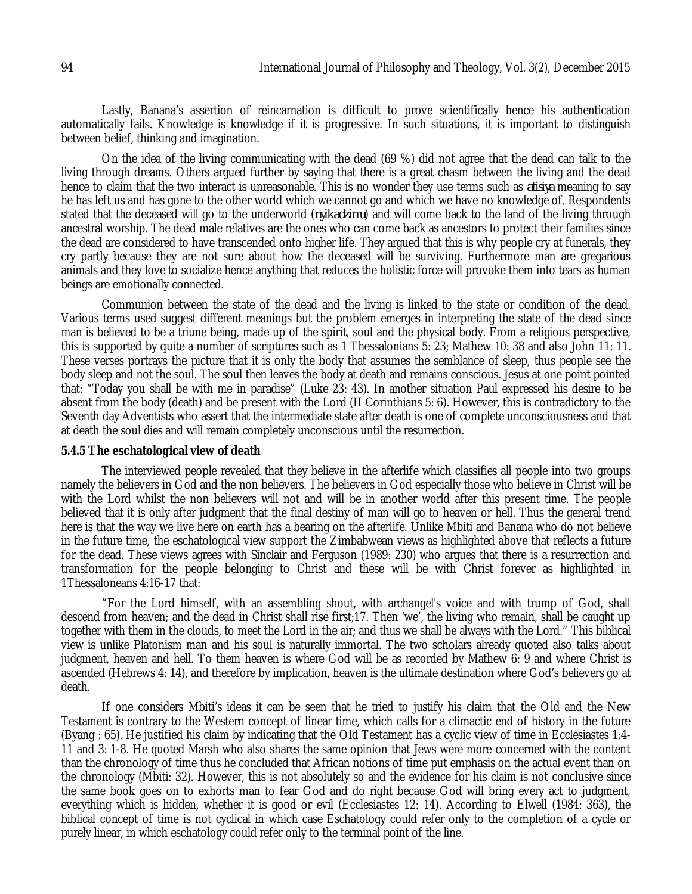Lastly, Banana's assertion of reincarnation is difficult to prove scientifically hence his authentication automatically fails. Knowledge is knowledge if it is progressive. In such situations, it is important to distinguish between belief, thinking and imagination.

On the idea of the living communicating with the dead (69 %) did not agree that the dead can talk to the living through dreams. Others argued further by saying that there is a great chasm between the living and the dead hence to claim that the two interact is unreasonable. This is no wonder they use terms such as *atisiya* meaning to say he has left us and has gone to the other world which we cannot go and which we have no knowledge of. Respondents stated that the deceased will go to the underworld (*nyikadzimu*) and will come back to the land of the living through ancestral worship. The dead male relatives are the ones who can come back as ancestors to protect their families since the dead are considered to have transcended onto higher life. They argued that this is why people cry at funerals, they cry partly because they are not sure about how the deceased will be surviving. Furthermore man are gregarious animals and they love to socialize hence anything that reduces the holistic force will provoke them into tears as human beings are emotionally connected.

Communion between the state of the dead and the living is linked to the state or condition of the dead. Various terms used suggest different meanings but the problem emerges in interpreting the state of the dead since man is believed to be a triune being, made up of the spirit, soul and the physical body. From a religious perspective, this is supported by quite a number of scriptures such as 1 Thessalonians 5: 23; Mathew 10: 38 and also John 11: 11. These verses portrays the picture that it is only the body that assumes the semblance of sleep, thus people see the body sleep and not the soul. The soul then leaves the body at death and remains conscious. Jesus at one point pointed that: "Today you shall be with me in paradise" (Luke 23: 43). In another situation Paul expressed his desire to be absent from the body (death) and be present with the Lord (II Corinthians 5: 6). However, this is contradictory to the Seventh day Adventists who assert that the intermediate state after death is one of complete unconsciousness and that at death the soul dies and will remain completely unconscious until the resurrection.

#### **5.4.5 The eschatological view of death**

The interviewed people revealed that they believe in the afterlife which classifies all people into two groups namely the believers in God and the non believers. The believers in God especially those who believe in Christ will be with the Lord whilst the non believers will not and will be in another world after this present time. The people believed that it is only after judgment that the final destiny of man will go to heaven or hell. Thus the general trend here is that the way we live here on earth has a bearing on the afterlife. Unlike Mbiti and Banana who do not believe in the future time, the eschatological view support the Zimbabwean views as highlighted above that reflects a future for the dead. These views agrees with Sinclair and Ferguson (1989: 230) who argues that there is a resurrection and transformation for the people belonging to Christ and these will be with Christ forever as highlighted in 1Thessaloneans 4:16-17 that:

"For the Lord himself, with an assembling shout, with archangel's voice and with trump of God, shall descend from heaven; and the dead in Christ shall rise first;17. Then 'we', the living who remain, shall be caught up together with them in the clouds, to meet the Lord in the air; and thus we shall be always with the Lord." This biblical view is unlike Platonism man and his soul is naturally immortal. The two scholars already quoted also talks about judgment, heaven and hell. To them heaven is where God will be as recorded by Mathew 6: 9 and where Christ is ascended (Hebrews 4: 14), and therefore by implication, heaven is the ultimate destination where God's believers go at death.

If one considers Mbiti's ideas it can be seen that he tried to justify his claim that the Old and the New Testament is contrary to the Western concept of linear time, which calls for a climactic end of history in the future (Byang : 65). He justified his claim by indicating that the Old Testament has a cyclic view of time in Ecclesiastes 1:4- 11 and 3: 1-8. He quoted Marsh who also shares the same opinion that Jews were more concerned with the content than the chronology of time thus he concluded that African notions of time put emphasis on the actual event than on the chronology (Mbiti: 32). However, this is not absolutely so and the evidence for his claim is not conclusive since the same book goes on to exhorts man to fear God and do right because God will bring every act to judgment, everything which is hidden, whether it is good or evil (Ecclesiastes 12: 14). According to Elwell (1984: 363), the biblical concept of time is not cyclical in which case Eschatology could refer only to the completion of a cycle or purely linear, in which eschatology could refer only to the terminal point of the line.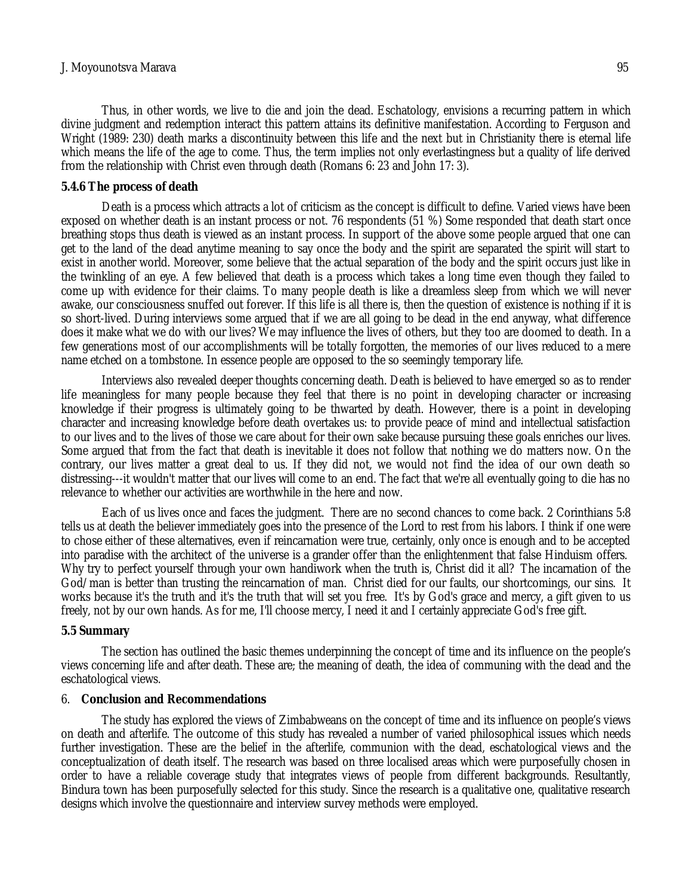#### J. Moyounotsva Marava 95

Thus, in other words, we live to die and join the dead. Eschatology, envisions a recurring pattern in which divine judgment and redemption interact this pattern attains its definitive manifestation. According to Ferguson and Wright (1989: 230) death marks a discontinuity between this life and the next but in Christianity there is eternal life which means the life of the age to come. Thus, the term implies not only everlastingness but a quality of life derived from the relationship with Christ even through death (Romans 6: 23 and John 17: 3).

### **5.4.6 The process of death**

Death is a process which attracts a lot of criticism as the concept is difficult to define. Varied views have been exposed on whether death is an instant process or not. 76 respondents (51 %) Some responded that death start once breathing stops thus death is viewed as an instant process. In support of the above some people argued that one can get to the land of the dead anytime meaning to say once the body and the spirit are separated the spirit will start to exist in another world. Moreover, some believe that the actual separation of the body and the spirit occurs just like in the twinkling of an eye. A few believed that death is a process which takes a long time even though they failed to come up with evidence for their claims. To many people death is like a dreamless sleep from which we will never awake, our consciousness snuffed out forever. If this life is all there is, then the question of existence is nothing if it is so short-lived. During interviews some argued that if we are all going to be dead in the end anyway, what difference does it make what we do with our lives? We may influence the lives of others, but they too are doomed to death. In a few generations most of our accomplishments will be totally forgotten, the memories of our lives reduced to a mere name etched on a tombstone. In essence people are opposed to the so seemingly temporary life.

Interviews also revealed deeper thoughts concerning death. Death is believed to have emerged so as to render life meaningless for many people because they feel that there is no point in developing character or increasing knowledge if their progress is ultimately going to be thwarted by death. However, there is a point in developing character and increasing knowledge before death overtakes us: to provide peace of mind and intellectual satisfaction to our lives and to the lives of those we care about for their own sake because pursuing these goals enriches our lives. Some argued that from the fact that death is inevitable it does not follow that nothing we do matters now. On the contrary, our lives matter a great deal to us. If they did not, we would not find the idea of our own death so distressing---it wouldn't matter that our lives will come to an end. The fact that we're all eventually going to die has no relevance to whether our activities are worthwhile in the here and now.

Each of us lives once and faces the judgment. There are no second chances to come back. 2 Corinthians 5:8 tells us at death the believer immediately goes into the presence of the Lord to rest from his labors. I think if one were to chose either of these alternatives, even if reincarnation were true, certainly, only once is enough and to be accepted into paradise with the architect of the universe is a grander offer than the enlightenment that false Hinduism offers. Why try to perfect yourself through your own handiwork when the truth is, Christ did it all? The incarnation of the God/man is better than trusting the reincarnation of man. Christ died for our faults, our shortcomings, our sins. It works because it's the truth and it's the truth that will set you free. It's by God's grace and mercy, a gift given to us freely, not by our own hands. As for me, I'll choose mercy, I need it and I certainly appreciate God's free gift.

#### **5.5 Summary**

The section has outlined the basic themes underpinning the concept of time and its influence on the people's views concerning life and after death. These are; the meaning of death, the idea of communing with the dead and the eschatological views.

#### 6. **Conclusion and Recommendations**

The study has explored the views of Zimbabweans on the concept of time and its influence on people's views on death and afterlife. The outcome of this study has revealed a number of varied philosophical issues which needs further investigation. These are the belief in the afterlife, communion with the dead, eschatological views and the conceptualization of death itself. The research was based on three localised areas which were purposefully chosen in order to have a reliable coverage study that integrates views of people from different backgrounds. Resultantly, Bindura town has been purposefully selected for this study. Since the research is a qualitative one, qualitative research designs which involve the questionnaire and interview survey methods were employed.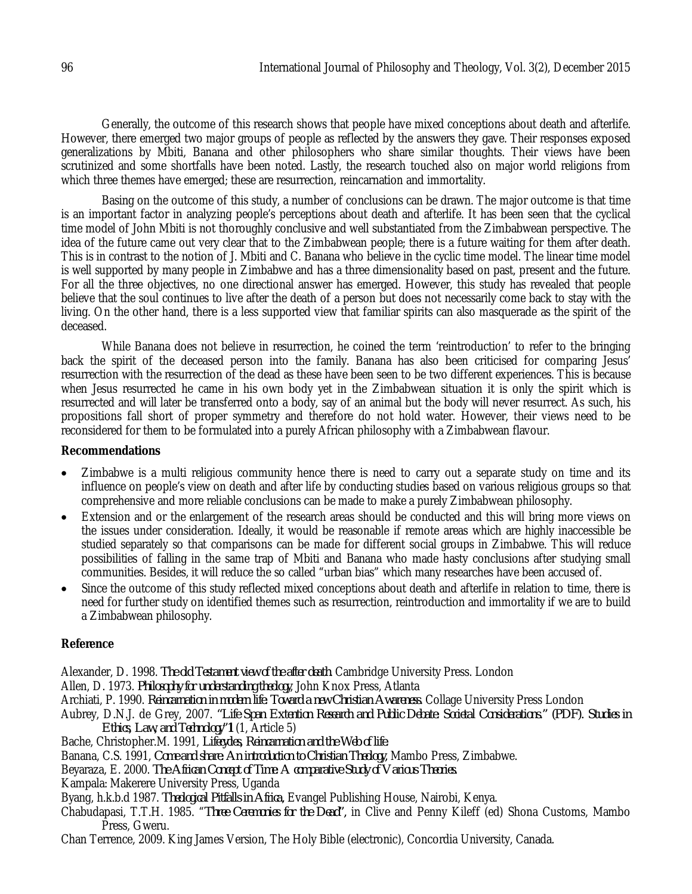Generally, the outcome of this research shows that people have mixed conceptions about death and afterlife. However, there emerged two major groups of people as reflected by the answers they gave. Their responses exposed generalizations by Mbiti, Banana and other philosophers who share similar thoughts. Their views have been scrutinized and some shortfalls have been noted. Lastly, the research touched also on major world religions from which three themes have emerged; these are resurrection, reincarnation and immortality.

Basing on the outcome of this study, a number of conclusions can be drawn. The major outcome is that time is an important factor in analyzing people's perceptions about death and afterlife. It has been seen that the cyclical time model of John Mbiti is not thoroughly conclusive and well substantiated from the Zimbabwean perspective. The idea of the future came out very clear that to the Zimbabwean people; there is a future waiting for them after death. This is in contrast to the notion of J. Mbiti and C. Banana who believe in the cyclic time model. The linear time model is well supported by many people in Zimbabwe and has a three dimensionality based on past, present and the future. For all the three objectives, no one directional answer has emerged. However, this study has revealed that people believe that the soul continues to live after the death of a person but does not necessarily come back to stay with the living. On the other hand, there is a less supported view that familiar spirits can also masquerade as the spirit of the deceased.

While Banana does not believe in resurrection, he coined the term 'reintroduction' to refer to the bringing back the spirit of the deceased person into the family. Banana has also been criticised for comparing Jesus' resurrection with the resurrection of the dead as these have been seen to be two different experiences. This is because when Jesus resurrected he came in his own body yet in the Zimbabwean situation it is only the spirit which is resurrected and will later be transferred onto a body, say of an animal but the body will never resurrect. As such, his propositions fall short of proper symmetry and therefore do not hold water. However, their views need to be reconsidered for them to be formulated into a purely African philosophy with a Zimbabwean flavour.

## **Recommendations**

- Zimbabwe is a multi religious community hence there is need to carry out a separate study on time and its influence on people's view on death and after life by conducting studies based on various religious groups so that comprehensive and more reliable conclusions can be made to make a purely Zimbabwean philosophy.
- Extension and or the enlargement of the research areas should be conducted and this will bring more views on the issues under consideration. Ideally, it would be reasonable if remote areas which are highly inaccessible be studied separately so that comparisons can be made for different social groups in Zimbabwe. This will reduce possibilities of falling in the same trap of Mbiti and Banana who made hasty conclusions after studying small communities. Besides, it will reduce the so called "urban bias" which many researches have been accused of.
- Since the outcome of this study reflected mixed conceptions about death and afterlife in relation to time, there is need for further study on identified themes such as resurrection, reintroduction and immortality if we are to build a Zimbabwean philosophy.

## **Reference**

Alexander, D. 1998. *The old Testament view of the after death*. Cambridge University Press. London

Allen, D. 1973. *Philosophy for understanding theology*, John Knox Press, Atlanta

Archiati, P. 1990. *Reincarnation in modern life: Toward a new Christian Awareness.* Collage University Press London

Aubrey, D.N.J. de Grey, 2007. *"Life Span Extention Research and Public Debate: Societal Considerations." (PDF). Studies in Ethics, Law, and Technology"***1** (1, Article 5)

Bache, Christopher.M. 1991, *Lifecycles, Reincarnation and the Web of life.*

Banana, C.S. 1991, *Come and share: An introduction to Christian Theology,* Mambo Press, Zimbabwe.

Beyaraza, E. 2000. *The African Concept of Time: A comparative Study of Various Theories.*

Kampala: Makerere University Press, Uganda

Byang, h.k.b.d 1987. *Theological Pitfalls in Africa,* Evangel Publishing House, Nairobi, Kenya.

Chabudapasi, T.T.H. 1985. "*Three Ceremonies for the Dead",* in Clive and Penny Kileff (ed) Shona Customs, Mambo Press, Gweru.

Chan Terrence, 2009. King James Version, The Holy Bible (electronic), Concordia University, Canada.